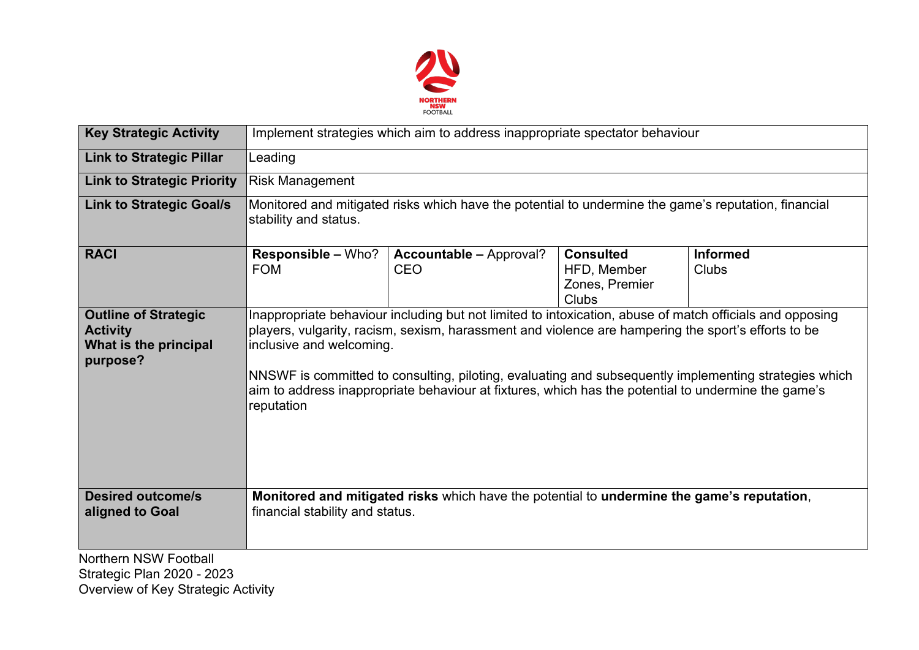

| <b>Key Strategic Activity</b>                                                       | Implement strategies which aim to address inappropriate spectator behaviour                                                                                                                                                                                                                                                                                                                                                                                               |                                              |                                                            |                          |  |  |  |  |
|-------------------------------------------------------------------------------------|---------------------------------------------------------------------------------------------------------------------------------------------------------------------------------------------------------------------------------------------------------------------------------------------------------------------------------------------------------------------------------------------------------------------------------------------------------------------------|----------------------------------------------|------------------------------------------------------------|--------------------------|--|--|--|--|
| <b>Link to Strategic Pillar</b>                                                     | Leading                                                                                                                                                                                                                                                                                                                                                                                                                                                                   |                                              |                                                            |                          |  |  |  |  |
| <b>Link to Strategic Priority</b>                                                   | <b>Risk Management</b>                                                                                                                                                                                                                                                                                                                                                                                                                                                    |                                              |                                                            |                          |  |  |  |  |
| <b>Link to Strategic Goal/s</b>                                                     | Monitored and mitigated risks which have the potential to undermine the game's reputation, financial<br>stability and status.                                                                                                                                                                                                                                                                                                                                             |                                              |                                                            |                          |  |  |  |  |
| <b>RACI</b>                                                                         | <b>Responsible – Who?</b><br><b>FOM</b>                                                                                                                                                                                                                                                                                                                                                                                                                                   | <b>Accountable - Approval?</b><br><b>CEO</b> | <b>Consulted</b><br>HFD, Member<br>Zones, Premier<br>Clubs | <b>Informed</b><br>Clubs |  |  |  |  |
| <b>Outline of Strategic</b><br><b>Activity</b><br>What is the principal<br>purpose? | Inappropriate behaviour including but not limited to intoxication, abuse of match officials and opposing<br>players, vulgarity, racism, sexism, harassment and violence are hampering the sport's efforts to be<br>inclusive and welcoming.<br>NNSWF is committed to consulting, piloting, evaluating and subsequently implementing strategies which<br>aim to address inappropriate behaviour at fixtures, which has the potential to undermine the game's<br>reputation |                                              |                                                            |                          |  |  |  |  |
| <b>Desired outcome/s</b><br>aligned to Goal                                         | Monitored and mitigated risks which have the potential to undermine the game's reputation,<br>financial stability and status.                                                                                                                                                                                                                                                                                                                                             |                                              |                                                            |                          |  |  |  |  |
| <b>Northern NSW Football</b><br>Strategic Plan 2020 - 2023                          |                                                                                                                                                                                                                                                                                                                                                                                                                                                                           |                                              |                                                            |                          |  |  |  |  |

Strategic Plan 2020 - 2023 Overview of Key Strategic Activity